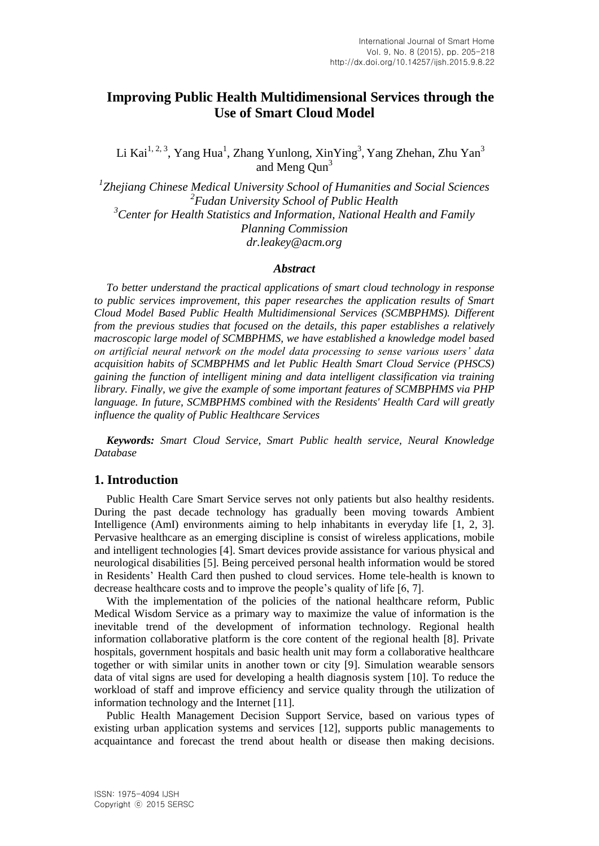# **Improving Public Health Multidimensional Services through the Use of Smart Cloud Model**

Li Kai $^{1, 2, 3}$ , Yang Hua<sup>1</sup>, Zhang Yunlong, XinYing<sup>3</sup>, Yang Zhehan, Zhu Yan<sup>3</sup> and Meng Oun<sup>3</sup>

*1 Zhejiang Chinese Medical University School of Humanities and Social Sciences 2 Fudan University School of Public Health <sup>3</sup>Center for Health Statistics and Information, National Health and Family Planning Commission dr.leakey@acm.org*

#### *Abstract*

*To better understand the practical applications of smart cloud technology in response to public services improvement, this paper researches the application results of Smart Cloud Model Based Public Health Multidimensional Services (SCMBPHMS). Different from the previous studies that focused on the details, this paper establishes a relatively macroscopic large model of SCMBPHMS, we have established a knowledge model based on artificial neural network on the model data processing to sense various users' data acquisition habits of SCMBPHMS and let Public Health Smart Cloud Service (PHSCS) gaining the function of intelligent mining and data intelligent classification via training library. Finally, we give the example of some important features of SCMBPHMS via PHP language. In future, SCMBPHMS combined with the Residents' Health Card will greatly influence the quality of Public Healthcare Services*

*Keywords: Smart Cloud Service, Smart Public health service, Neural Knowledge Database*

## **1. Introduction**

Public Health Care Smart Service serves not only patients but also healthy residents. During the past decade technology has gradually been moving towards Ambient Intelligence (AmI) environments aiming to help inhabitants in everyday life [1, 2, 3]. Pervasive healthcare as an emerging discipline is consist of wireless applications, mobile and intelligent technologies [4]. Smart devices provide assistance for various physical and neurological disabilities [5]. Being perceived personal health information would be stored in Residents' Health Card then pushed to cloud services. Home tele-health is known to decrease healthcare costs and to improve the people's quality of life [6, 7].

With the implementation of the policies of the national healthcare reform, Public Medical Wisdom Service as a primary way to maximize the value of information is the inevitable trend of the development of information technology. Regional health information collaborative platform is the core content of the regional health [8]. Private hospitals, government hospitals and basic health unit may form a collaborative healthcare together or with similar units in another town or city [9]. Simulation wearable sensors data of vital signs are used for developing a health diagnosis system [10]. To reduce the workload of staff and improve efficiency and service quality through the utilization of information technology and the Internet [11].

Public Health Management Decision Support Service, based on various types of existing urban application systems and services [12], supports public managements to acquaintance and forecast the trend about health or disease then making decisions.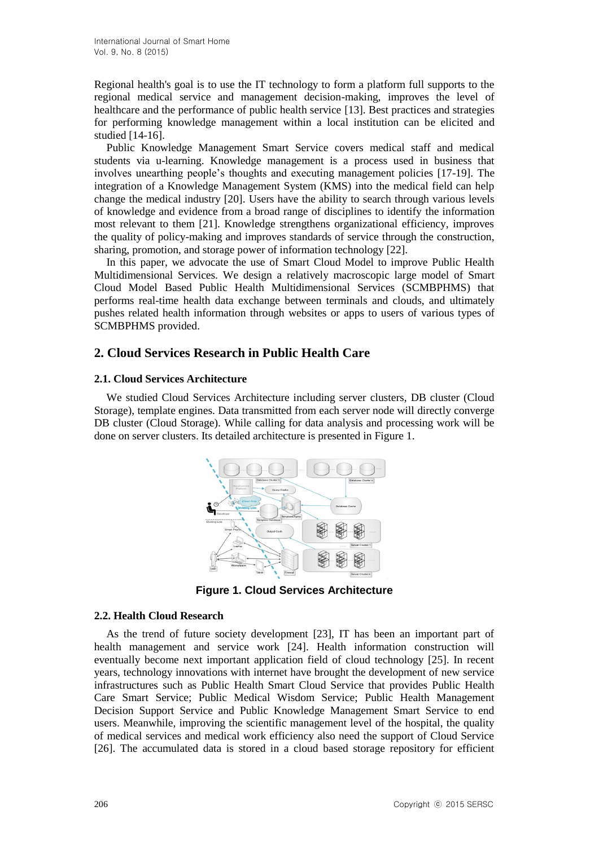Regional health's goal is to use the IT technology to form a platform full supports to the regional medical service and management decision-making, improves the level of healthcare and the performance of public health service [13]. Best practices and strategies for performing knowledge management within a local institution can be elicited and studied [14-16].

Public Knowledge Management Smart Service covers medical staff and medical students via u-learning. Knowledge management is a process used in business that involves unearthing people's thoughts and executing management policies [17-19]. The integration of a Knowledge Management System (KMS) into the medical field can help change the medical industry [20]. Users have the ability to search through various levels of knowledge and evidence from a broad range of disciplines to identify the information most relevant to them [21]. Knowledge strengthens organizational efficiency, improves the quality of policy-making and improves standards of service through the construction, sharing, promotion, and storage power of information technology [22].

In this paper, we advocate the use of Smart Cloud Model to improve Public Health Multidimensional Services. We design a relatively macroscopic large model of Smart Cloud Model Based Public Health Multidimensional Services (SCMBPHMS) that performs real-time health data exchange between terminals and clouds, and ultimately pushes related health information through websites or apps to users of various types of SCMBPHMS provided.

## **2. Cloud Services Research in Public Health Care**

### **2.1. Cloud Services Architecture**

We studied Cloud Services Architecture including server clusters, DB cluster (Cloud Storage), template engines. Data transmitted from each server node will directly converge DB cluster (Cloud Storage). While calling for data analysis and processing work will be done on server clusters. Its detailed architecture is presented in Figure 1.



**Figure 1. Cloud Services Architecture**

### **2.2. Health Cloud Research**

As the trend of future society development [23], IT has been an important part of health management and service work [24]. Health information construction will eventually become next important application field of cloud technology [25]. In recent years, technology innovations with internet have brought the development of new service infrastructures such as Public Health Smart Cloud Service that provides Public Health Care Smart Service; Public Medical Wisdom Service; Public Health Management Decision Support Service and Public Knowledge Management Smart Service to end users. Meanwhile, improving the scientific management level of the hospital, the quality of medical services and medical work efficiency also need the support of Cloud Service [26]. The accumulated data is stored in a cloud based storage repository for efficient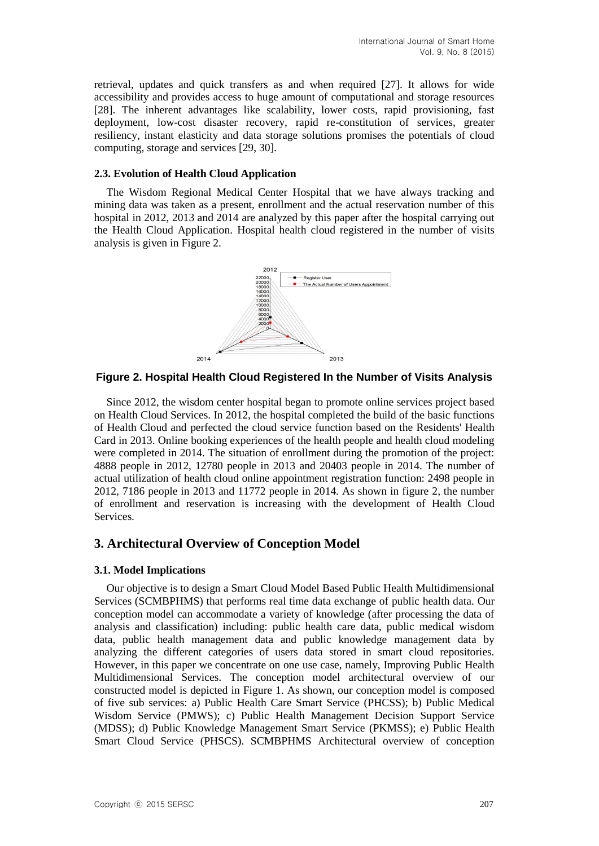retrieval, updates and quick transfers as and when required [27]. It allows for wide accessibility and provides access to huge amount of computational and storage resources [28]. The inherent advantages like scalability, lower costs, rapid provisioning, fast deployment, low-cost disaster recovery, rapid re-constitution of services, greater resiliency, instant elasticity and data storage solutions promises the potentials of cloud computing, storage and services [29, 30].

### **2.3. Evolution of Health Cloud Application**

The Wisdom Regional Medical Center Hospital that we have always tracking and mining data was taken as a present, enrollment and the actual reservation number of this hospital in 2012, 2013 and 2014 are analyzed by this paper after the hospital carrying out the Health Cloud Application. Hospital health cloud registered in the number of visits analysis is given in Figure 2.



### **Figure 2. Hospital Health Cloud Registered In the Number of Visits Analysis**

Since 2012, the wisdom center hospital began to promote online services project based on Health Cloud Services. In 2012, the hospital completed the build of the basic functions of Health Cloud and perfected the cloud service function based on the Residents' Health Card in 2013. Online booking experiences of the health people and health cloud modeling were completed in 2014. The situation of enrollment during the promotion of the project: 4888 people in 2012, 12780 people in 2013 and 20403 people in 2014. The number of actual utilization of health cloud online appointment registration function: 2498 people in 2012, 7186 people in 2013 and 11772 people in 2014. As shown in figure 2, the number of enrollment and reservation is increasing with the development of Health Cloud Services.

## **3. Architectural Overview of Conception Model**

### **3.1. Model Implications**

Our objective is to design a Smart Cloud Model Based Public Health Multidimensional Services (SCMBPHMS) that performs real time data exchange of public health data. Our conception model can accommodate a variety of knowledge (after processing the data of analysis and classification) including: public health care data, public medical wisdom data, public health management data and public knowledge management data by analyzing the different categories of users data stored in smart cloud repositories. However, in this paper we concentrate on one use case, namely, Improving Public Health Multidimensional Services. The conception model architectural overview of our constructed model is depicted in Figure 1. As shown, our conception model is composed of five sub services: a) Public Health Care Smart Service (PHCSS); b) Public Medical Wisdom Service (PMWS); c) Public Health Management Decision Support Service (MDSS); d) Public Knowledge Management Smart Service (PKMSS); e) Public Health Smart Cloud Service (PHSCS). SCMBPHMS Architectural overview of conception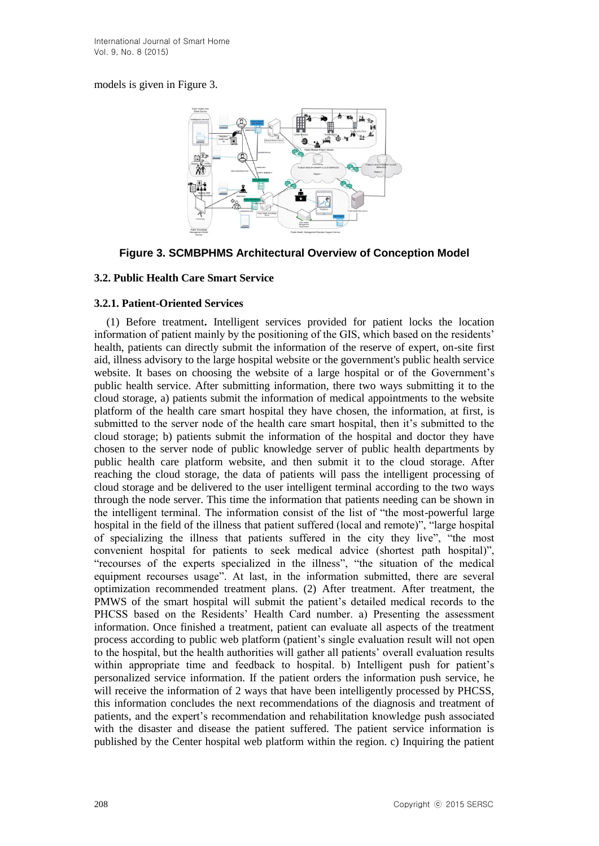models is given in Figure 3.



## **Figure 3. SCMBPHMS Architectural Overview of Conception Model**

## **3.2. Public Health Care Smart Service**

### **3.2.1. Patient-Oriented Services**

(1) Before treatment**.** Intelligent services provided for patient locks the location information of patient mainly by the positioning of the GIS, which based on the residents' health, patients can directly submit the information of the reserve of expert, on-site first aid, illness advisory to the large hospital website or the government's public health service website. It bases on choosing the website of a large hospital or of the Government's public health service. After submitting information, there two ways submitting it to the cloud storage, a) patients submit the information of medical appointments to the website platform of the health care smart hospital they have chosen, the information, at first, is submitted to the server node of the health care smart hospital, then it's submitted to the cloud storage; b) patients submit the information of the hospital and doctor they have chosen to the server node of public knowledge server of public health departments by public health care platform website, and then submit it to the cloud storage. After reaching the cloud storage, the data of patients will pass the intelligent processing of cloud storage and be delivered to the user intelligent terminal according to the two ways through the node server. This time the information that patients needing can be shown in the intelligent terminal. The information consist of the list of "the most-powerful large hospital in the field of the illness that patient suffered (local and remote)", "large hospital of specializing the illness that patients suffered in the city they live", "the most convenient hospital for patients to seek medical advice (shortest path hospital)", "recourses of the experts specialized in the illness", "the situation of the medical equipment recourses usage". At last, in the information submitted, there are several optimization recommended treatment plans. (2) After treatment. After treatment, the PMWS of the smart hospital will submit the patient's detailed medical records to the PHCSS based on the Residents' Health Card number. a) Presenting the assessment information. Once finished a treatment, patient can evaluate all aspects of the treatment process according to public web platform (patient's single evaluation result will not open to the hospital, but the health authorities will gather all patients' overall evaluation results within appropriate time and feedback to hospital. b) Intelligent push for patient's personalized service information. If the patient orders the information push service, he will receive the information of 2 ways that have been intelligently processed by PHCSS, this information concludes the next recommendations of the diagnosis and treatment of patients, and the expert's recommendation and rehabilitation knowledge push associated with the disaster and disease the patient suffered. The patient service information is published by the Center hospital web platform within the region. c) Inquiring the patient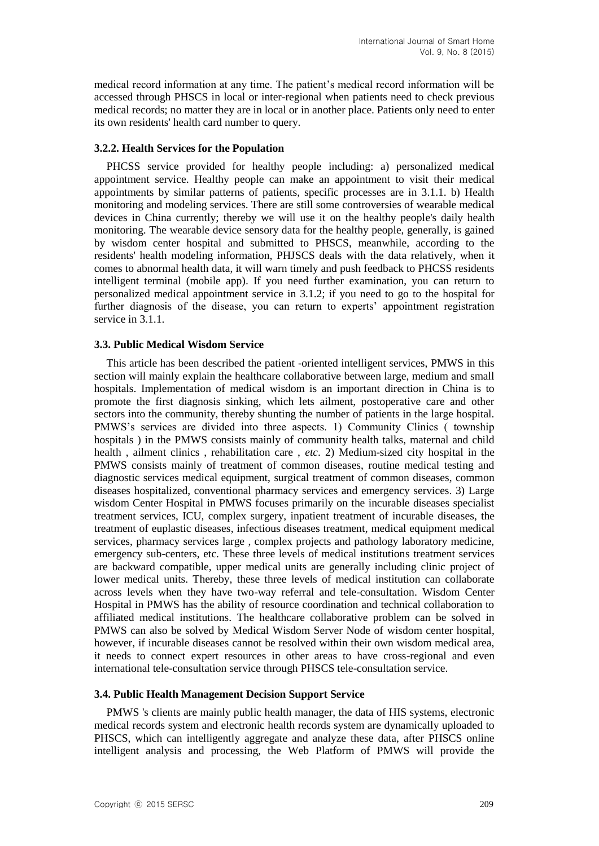medical record information at any time. The patient's medical record information will be accessed through PHSCS in local or inter-regional when patients need to check previous medical records; no matter they are in local or in another place. Patients only need to enter its own residents' health card number to query.

#### **3.2.2. Health Services for the Population**

PHCSS service provided for healthy people including: a) personalized medical appointment service. Healthy people can make an appointment to visit their medical appointments by similar patterns of patients, specific processes are in 3.1.1. b) Health monitoring and modeling services. There are still some controversies of wearable medical devices in China currently; thereby we will use it on the healthy people's daily health monitoring. The wearable device sensory data for the healthy people, generally, is gained by wisdom center hospital and submitted to PHSCS, meanwhile, according to the residents' health modeling information, PHJSCS deals with the data relatively, when it comes to abnormal health data, it will warn timely and push feedback to PHCSS residents intelligent terminal (mobile app). If you need further examination, you can return to personalized medical appointment service in 3.1.2; if you need to go to the hospital for further diagnosis of the disease, you can return to experts' appointment registration service in 3.1.1.

#### **3.3. Public Medical Wisdom Service**

This article has been described the patient -oriented intelligent services, PMWS in this section will mainly explain the healthcare collaborative between large, medium and small hospitals. Implementation of medical wisdom is an important direction in China is to promote the first diagnosis sinking, which lets ailment, postoperative care and other sectors into the community, thereby shunting the number of patients in the large hospital. PMWS's services are divided into three aspects. 1) Community Clinics ( township hospitals ) in the PMWS consists mainly of community health talks, maternal and child health , ailment clinics , rehabilitation care , *etc*. 2) Medium-sized city hospital in the PMWS consists mainly of treatment of common diseases, routine medical testing and diagnostic services medical equipment, surgical treatment of common diseases, common diseases hospitalized, conventional pharmacy services and emergency services. 3) Large wisdom Center Hospital in PMWS focuses primarily on the incurable diseases specialist treatment services, ICU, complex surgery, inpatient treatment of incurable diseases, the treatment of euplastic diseases, infectious diseases treatment, medical equipment medical services, pharmacy services large , complex projects and pathology laboratory medicine, emergency sub-centers, etc. These three levels of medical institutions treatment services are backward compatible, upper medical units are generally including clinic project of lower medical units. Thereby, these three levels of medical institution can collaborate across levels when they have two-way referral and tele-consultation. Wisdom Center Hospital in PMWS has the ability of resource coordination and technical collaboration to affiliated medical institutions. The healthcare collaborative problem can be solved in PMWS can also be solved by Medical Wisdom Server Node of wisdom center hospital, however, if incurable diseases cannot be resolved within their own wisdom medical area, it needs to connect expert resources in other areas to have cross-regional and even international tele-consultation service through PHSCS tele-consultation service.

#### **3.4. Public Health Management Decision Support Service**

PMWS 's clients are mainly public health manager, the data of HIS systems, electronic medical records system and electronic health records system are dynamically uploaded to PHSCS, which can intelligently aggregate and analyze these data, after PHSCS online intelligent analysis and processing, the Web Platform of PMWS will provide the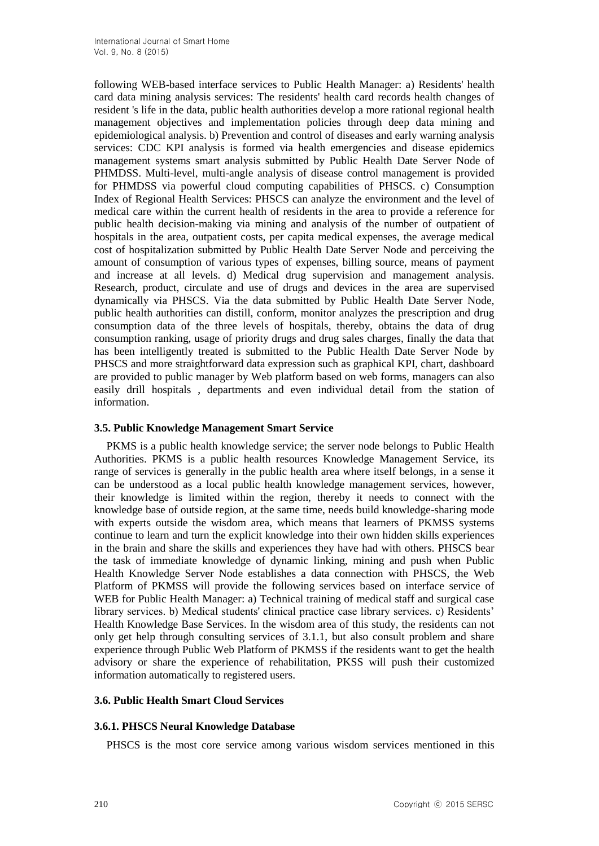following WEB-based interface services to Public Health Manager: a) Residents' health card data mining analysis services: The residents' health card records health changes of resident 's life in the data, public health authorities develop a more rational regional health management objectives and implementation policies through deep data mining and epidemiological analysis. b) Prevention and control of diseases and early warning analysis services: CDC KPI analysis is formed via health emergencies and disease epidemics management systems smart analysis submitted by Public Health Date Server Node of PHMDSS. Multi-level, multi-angle analysis of disease control management is provided for PHMDSS via powerful cloud computing capabilities of PHSCS. c) Consumption Index of Regional Health Services: PHSCS can analyze the environment and the level of medical care within the current health of residents in the area to provide a reference for public health decision-making via mining and analysis of the number of outpatient of hospitals in the area, outpatient costs, per capita medical expenses, the average medical cost of hospitalization submitted by Public Health Date Server Node and perceiving the amount of consumption of various types of expenses, billing source, means of payment and increase at all levels. d) Medical drug supervision and management analysis. Research, product, circulate and use of drugs and devices in the area are supervised dynamically via PHSCS. Via the data submitted by Public Health Date Server Node, public health authorities can distill, conform, monitor analyzes the prescription and drug consumption data of the three levels of hospitals, thereby, obtains the data of drug consumption ranking, usage of priority drugs and drug sales charges, finally the data that has been intelligently treated is submitted to the Public Health Date Server Node by PHSCS and more straightforward data expression such as graphical KPI, chart, dashboard are provided to public manager by Web platform based on web forms, managers can also easily drill hospitals , departments and even individual detail from the station of information.

### **3.5. Public Knowledge Management Smart Service**

PKMS is a public health knowledge service; the server node belongs to Public Health Authorities. PKMS is a public health resources Knowledge Management Service, its range of services is generally in the public health area where itself belongs, in a sense it can be understood as a local public health knowledge management services, however, their knowledge is limited within the region, thereby it needs to connect with the knowledge base of outside region, at the same time, needs build knowledge-sharing mode with experts outside the wisdom area, which means that learners of PKMSS systems continue to learn and turn the explicit knowledge into their own hidden skills experiences in the brain and share the skills and experiences they have had with others. PHSCS bear the task of immediate knowledge of dynamic linking, mining and push when Public Health Knowledge Server Node establishes a data connection with PHSCS, the Web Platform of PKMSS will provide the following services based on interface service of WEB for Public Health Manager: a) Technical training of medical staff and surgical case library services. b) Medical students' clinical practice case library services. c) Residents' Health Knowledge Base Services. In the wisdom area of this study, the residents can not only get help through consulting services of 3.1.1, but also consult problem and share experience through Public Web Platform of PKMSS if the residents want to get the health advisory or share the experience of rehabilitation, PKSS will push their customized information automatically to registered users.

#### **3.6. Public Health Smart Cloud Services**

#### **3.6.1. PHSCS Neural Knowledge Database**

PHSCS is the most core service among various wisdom services mentioned in this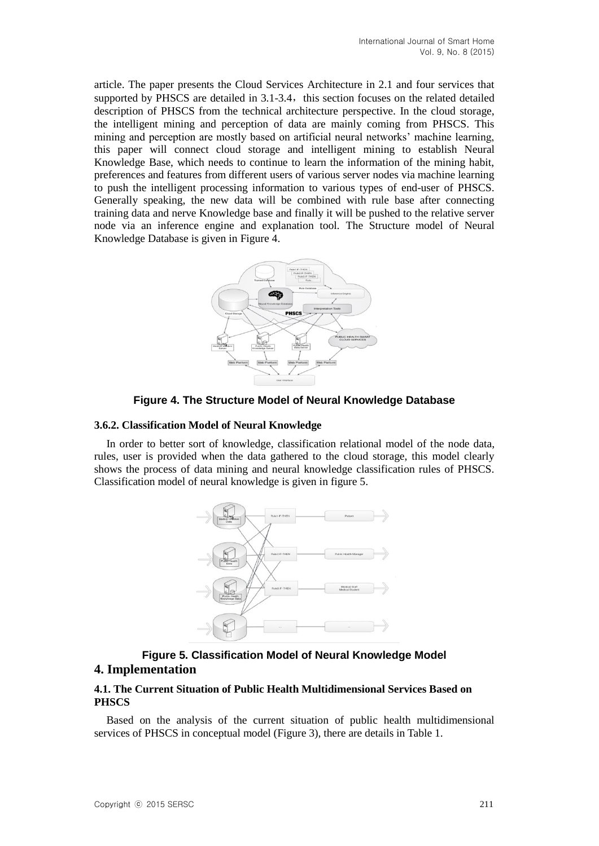article. The paper presents the Cloud Services Architecture in 2.1 and four services that supported by PHSCS are detailed in  $3.1-3.4$ , this section focuses on the related detailed description of PHSCS from the technical architecture perspective. In the cloud storage, the intelligent mining and perception of data are mainly coming from PHSCS. This mining and perception are mostly based on artificial neural networks' machine learning, this paper will connect cloud storage and intelligent mining to establish Neural Knowledge Base, which needs to continue to learn the information of the mining habit, preferences and features from different users of various server nodes via machine learning to push the intelligent processing information to various types of end-user of PHSCS. Generally speaking, the new data will be combined with rule base after connecting training data and nerve Knowledge base and finally it will be pushed to the relative server node via an inference engine and explanation tool. The Structure model of Neural Knowledge Database is given in Figure 4.



**Figure 4. The Structure Model of Neural Knowledge Database**

### **3.6.2. Classification Model of Neural Knowledge**

In order to better sort of knowledge, classification relational model of the node data, rules, user is provided when the data gathered to the cloud storage, this model clearly shows the process of data mining and neural knowledge classification rules of PHSCS. Classification model of neural knowledge is given in figure 5.



## **Figure 5. Classification Model of Neural Knowledge Model 4. Implementation**

### **4.1. The Current Situation of Public Health Multidimensional Services Based on PHSCS**

Based on the analysis of the current situation of public health multidimensional services of PHSCS in conceptual model (Figure 3), there are details in Table 1.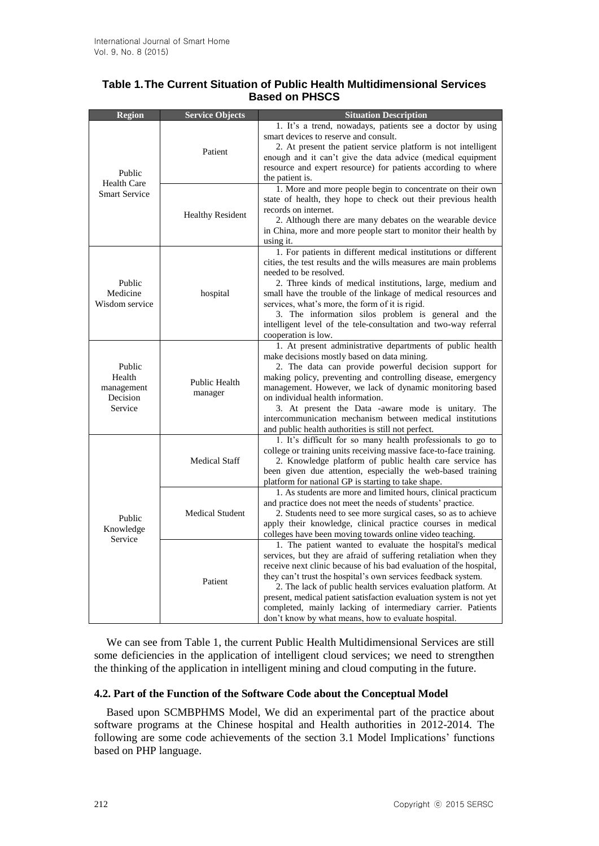## **Table 1.The Current Situation of Public Health Multidimensional Services Based on PHSCS**

| <b>Region</b>                                         | <b>Service Objects</b>   | <b>Situation Description</b>                                                                                                   |
|-------------------------------------------------------|--------------------------|--------------------------------------------------------------------------------------------------------------------------------|
| Public<br><b>Health Care</b><br><b>Smart Service</b>  | Patient                  | 1. It's a trend, nowadays, patients see a doctor by using<br>smart devices to reserve and consult.                             |
|                                                       |                          | 2. At present the patient service platform is not intelligent                                                                  |
|                                                       |                          | enough and it can't give the data advice (medical equipment                                                                    |
|                                                       |                          | resource and expert resource) for patients according to where                                                                  |
|                                                       |                          | the patient is.                                                                                                                |
|                                                       | <b>Healthy Resident</b>  | 1. More and more people begin to concentrate on their own                                                                      |
|                                                       |                          | state of health, they hope to check out their previous health<br>records on internet.                                          |
|                                                       |                          | 2. Although there are many debates on the wearable device                                                                      |
|                                                       |                          | in China, more and more people start to monitor their health by                                                                |
|                                                       |                          | using it.                                                                                                                      |
| Public<br>Medicine<br>Wisdom service                  | hospital                 | 1. For patients in different medical institutions or different                                                                 |
|                                                       |                          | cities, the test results and the wills measures are main problems                                                              |
|                                                       |                          | needed to be resolved.                                                                                                         |
|                                                       |                          | 2. Three kinds of medical institutions, large, medium and                                                                      |
|                                                       |                          | small have the trouble of the linkage of medical resources and                                                                 |
|                                                       |                          | services, what's more, the form of it is rigid.<br>3. The information silos problem is general and the                         |
|                                                       |                          | intelligent level of the tele-consultation and two-way referral                                                                |
|                                                       |                          | cooperation is low.                                                                                                            |
| Public<br>Health<br>management<br>Decision<br>Service | Public Health<br>manager | 1. At present administrative departments of public health                                                                      |
|                                                       |                          | make decisions mostly based on data mining.                                                                                    |
|                                                       |                          | 2. The data can provide powerful decision support for                                                                          |
|                                                       |                          | making policy, preventing and controlling disease, emergency                                                                   |
|                                                       |                          | management. However, we lack of dynamic monitoring based<br>on individual health information.                                  |
|                                                       |                          | 3. At present the Data -aware mode is unitary. The                                                                             |
|                                                       |                          | intercommunication mechanism between medical institutions                                                                      |
|                                                       |                          | and public health authorities is still not perfect.                                                                            |
| Public<br>Knowledge<br>Service                        | <b>Medical Staff</b>     | 1. It's difficult for so many health professionals to go to                                                                    |
|                                                       |                          | college or training units receiving massive face-to-face training.                                                             |
|                                                       |                          | 2. Knowledge platform of public health care service has                                                                        |
|                                                       |                          | been given due attention, especially the web-based training<br>platform for national GP is starting to take shape.             |
|                                                       |                          | 1. As students are more and limited hours, clinical practicum                                                                  |
|                                                       | <b>Medical Student</b>   | and practice does not meet the needs of students' practice.                                                                    |
|                                                       |                          | 2. Students need to see more surgical cases, so as to achieve                                                                  |
|                                                       |                          | apply their knowledge, clinical practice courses in medical                                                                    |
|                                                       |                          | colleges have been moving towards online video teaching.                                                                       |
|                                                       | Patient                  | 1. The patient wanted to evaluate the hospital's medical                                                                       |
|                                                       |                          | services, but they are afraid of suffering retaliation when they                                                               |
|                                                       |                          | receive next clinic because of his bad evaluation of the hospital,                                                             |
|                                                       |                          | they can't trust the hospital's own services feedback system.<br>2. The lack of public health services evaluation platform. At |
|                                                       |                          | present, medical patient satisfaction evaluation system is not yet                                                             |
|                                                       |                          | completed, mainly lacking of intermediary carrier. Patients                                                                    |
|                                                       |                          | don't know by what means, how to evaluate hospital.                                                                            |

We can see from Table 1, the current Public Health Multidimensional Services are still some deficiencies in the application of intelligent cloud services; we need to strengthen the thinking of the application in intelligent mining and cloud computing in the future.

## **4.2. Part of the Function of the Software Code about the Conceptual Model**

Based upon SCMBPHMS Model, We did an experimental part of the practice about software programs at the Chinese hospital and Health authorities in 2012-2014. The following are some code achievements of the section 3.1 Model Implications' functions based on PHP language.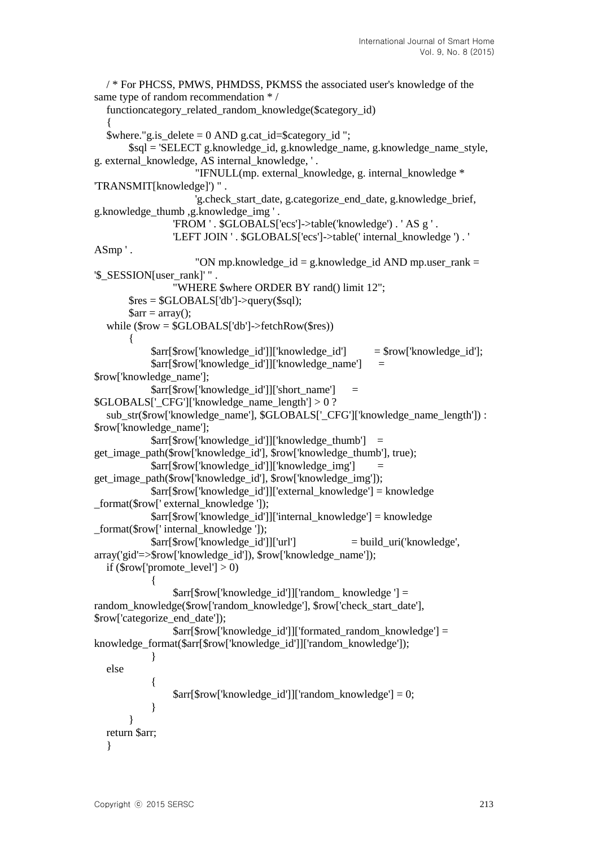```
/ * For PHCSS, PMWS, PHMDSS, PKMSS the associated user's knowledge of the 
same type of random recommendation * /
  functioncategory_related_random_knowledge($category_id)
  {
  $where."g.is delete = 0 AND g.cat id=$category id ";
        $sql = 'SELECT g.knowledge_id, g.knowledge_name, g.knowledge_name_style, 
g. external_knowledge, AS internal_knowledge, ' .
                      "IFNULL(mp. external_knowledge, g. internal_knowledge * 
'TRANSMIT[knowledge]') " .
                      'g.check_start_date, g.categorize_end_date, g.knowledge_brief, 
g.knowledge_thumb ,g.knowledge_img ' .
                  'FROM ' . $GLOBALS['ecs']->table('knowledge') . ' AS g ' .
                  'LEFT JOIN ' . $GLOBALS['ecs']->table(' internal_knowledge ') . ' 
ASmp ' .
                     "ON mp.knowledge id = g.knowlede id AND mp.user rank =
'$_SESSION[user_rank]' " .
                  "WHERE $where ORDER BY rand() limit 12";
       \text{Sres} = \text{SGLOBALS}['db']->query(\text{Ssq}l);
       \text{Sarr} = \text{array}();
  while ($row = $GLOBALS['db']->fetchRow($res))
        {
             $arr[$row['knowledge_id']]['knowledge_id'] = $row['knowledge_id'];
             $arr[$row['knowledge_id']]['knowledge_name'] = 
$row['knowledge_name'];
             $arr[$row['knowledge_id']]['short_name'] = 
$GLOBALS['CFG']['knowledge name length'] > 0 ?sub_str($row['knowledge_name'], $GLOBALS['_CFG']['knowledge_name_length']) : 
$row['knowledge_name'];
            \text{Sarr}[\text{Show}[\text{knowledge id}]][\text{knowledge thumb}] =get_image_path($row['knowledge_id'], $row['knowledge_thumb'], true);
             $arr[$row['knowledge_id']]['knowledge_img'] = 
get image path($row['knowledge id'], $row['knowledge img']);
             $arr[$row['knowledge_id']]['external_knowledge'] = knowledge 
format($row[' external_knowledge ']);
             $arr[$row['knowledge_id']]['internal_knowledge'] = knowledge 
_format($row[' internal_knowledge ']);
             $arr[$row['knowledge_id']]['url'] = build_uri('knowledge', 
array('gid'=>$row['knowledge_id']), $row['knowledge_name']);
  if (\text{from} ['promote_level'] > 0)
  \{ $arr[$row['knowledge_id']]['random_ knowledge '] = 
random_knowledge($row['random_knowledge'], $row['check_start_date'], 
$row['categorize_end_date']);
                 $arr[$row['knowledge_id']]['formated_random_knowledge'] =
knowledge_format($arr[$row['knowledge_id']]['random_knowledge']);
   }
  else
  \{ $arr[$row['knowledge_id']]['random_knowledge'] = 0;
   }
   }
  return $arr;
  }
```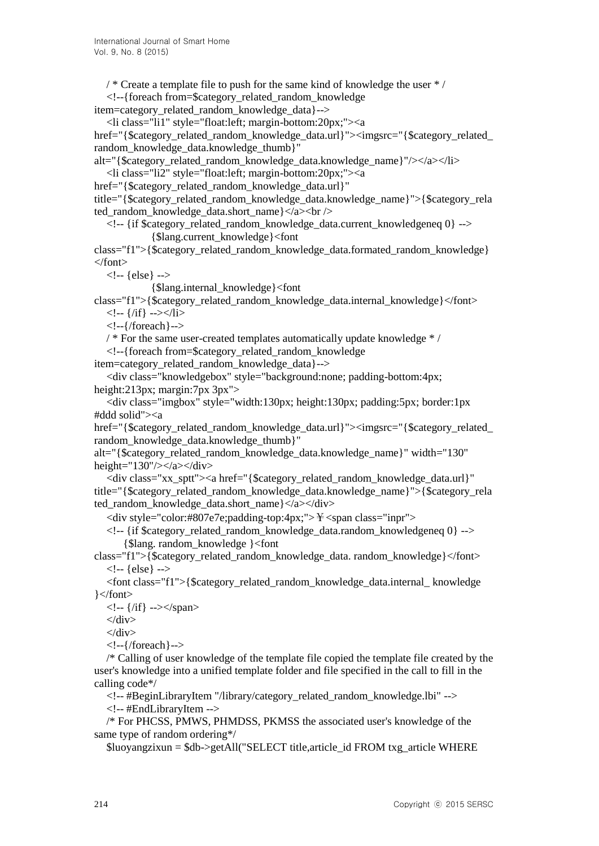$\frac{1}{2}$  /\* Create a template file to push for the same kind of knowledge the user  $\frac{1}{2}$  /

<!--{foreach from=\$category\_related\_random\_knowledge

item=category\_related\_random\_knowledge\_data}-->

<li class="li1" style="float:left; margin-bottom:20px;"><a

href="{\$category\_related\_random\_knowledge\_data.url}"><imgsrc="{\$category\_related random\_knowledge\_data.knowledge\_thumb}"

alt="{\$category\_related\_random\_knowledge\_data.knowledge\_name}"/></a></li>

<li class="li2" style="float:left; margin-bottom:20px;"><a

href="{\$category\_related\_random\_knowledge\_data.url}"

title="{\$category\_related\_random\_knowledge\_data.knowledge\_name}">{\$category\_rela ted\_random\_knowledge\_data.short\_name}</a> \le />

<!-- {if \$category\_related\_random\_knowledge\_data.current\_knowledgeneq 0} --> {\$lang.current\_knowledge}<font

class="f1">{\$category\_related\_random\_knowledge\_data.formated\_random\_knowledge} </font>

<!-- {else} -->

{\$lang.internal\_knowledge}<font

class="f1">{\$category\_related\_random\_knowledge\_data.internal\_knowledge}</font>  $\langle -1 - \frac{1}{i} \hat{f} \rangle$  --> $\langle -1 \hat{f} \rangle$ 

<!--{/foreach}-->

 $\frac{1}{2}$  For the same user-created templates automatically update knowledge  $\frac{*}{2}$ 

<!--{foreach from=\$category\_related\_random\_knowledge

item=category\_related\_random\_knowledge\_data}-->

<div class="knowledgebox" style="background:none; padding-bottom:4px; height:213px; margin:7px 3px">

<div class="imgbox" style="width:130px; height:130px; padding:5px; border:1px #ddd solid"><a

href="{\$category\_related\_random\_knowledge\_data.url}"><imgsrc="{\$category\_related\_ random\_knowledge\_data.knowledge\_thumb}"

alt="{\$category\_related\_random\_knowledge\_data.knowledge\_name}" width="130" height="130"/></a></div>

<div class="xx\_sptt"><a href="{\$category\_related\_random\_knowledge\_data.url}" title="{\$category\_related\_random\_knowledge\_data.knowledge\_name}">{\$category\_rela ted random knowledge data.short  $name\}<\&\lt;\&\lt;$ div>

 $\langle$ div style="color:#807e7e;padding-top:4px;">\\\pe{\\ \e \stan class="inpr">

<!-- {if \$category\_related\_random\_knowledge\_data.random\_knowledgeneq 0} --> {\$lang. random\_knowledge }<font

class="f1">{\$category\_related\_random\_knowledge\_data. random\_knowledge}</font>  $\langle$ !-- {else} -->

<font class="f1">{\$category\_related\_random\_knowledge\_data.internal\_ knowledge }</font>

 $\langle$ !-- {/if} --> $\langle$ /span>

 $\langle$ div>

 $\langle$ div $>$ 

<!--{/foreach}-->

/\* Calling of user knowledge of the template file copied the template file created by the user's knowledge into a unified template folder and file specified in the call to fill in the calling code\*/

<!-- #BeginLibraryItem "/library/category\_related\_random\_knowledge.lbi" -->

<!-- #EndLibraryItem -->

/\* For PHCSS, PMWS, PHMDSS, PKMSS the associated user's knowledge of the same type of random ordering\*/

\$luoyangzixun = \$db->getAll("SELECT title,article\_id FROM txg\_article WHERE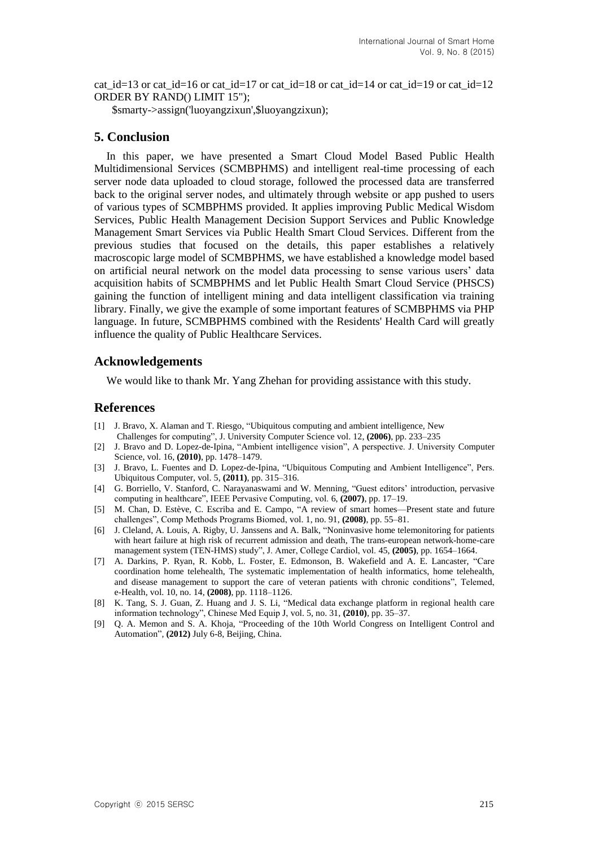cat id=13 or cat id=16 or cat id=17 or cat id=18 or cat id=14 or cat id=19 or cat id=12 ORDER BY RAND() LIMIT 15");

\$smarty->assign('luoyangzixun',\$luoyangzixun);

### **5. Conclusion**

In this paper, we have presented a Smart Cloud Model Based Public Health Multidimensional Services (SCMBPHMS) and intelligent real-time processing of each server node data uploaded to cloud storage, followed the processed data are transferred back to the original server nodes, and ultimately through website or app pushed to users of various types of SCMBPHMS provided. It applies improving Public Medical Wisdom Services, Public Health Management Decision Support Services and Public Knowledge Management Smart Services via Public Health Smart Cloud Services. Different from the previous studies that focused on the details, this paper establishes a relatively macroscopic large model of SCMBPHMS, we have established a knowledge model based on artificial neural network on the model data processing to sense various users' data acquisition habits of SCMBPHMS and let Public Health Smart Cloud Service (PHSCS) gaining the function of intelligent mining and data intelligent classification via training library. Finally, we give the example of some important features of SCMBPHMS via PHP language. In future, SCMBPHMS combined with the Residents' Health Card will greatly influence the quality of Public Healthcare Services.

### **Acknowledgements**

We would like to thank Mr. Yang Zhehan for providing assistance with this study.

#### **References**

- [1] J. Bravo, X. Alaman and T. Riesgo, "Ubiquitous computing and ambient intelligence, New Challenges for computing", J. University Computer Science vol. 12, **(2006)**, pp. 233–235
- [2] J. Bravo and D. Lopez-de-Ipina, "Ambient intelligence vision", A perspective. J. University Computer Science, vol. 16, **(2010)**, pp. 1478–1479.
- [3] J. Bravo, L. Fuentes and D. Lopez-de-Ipina, "Ubiquitous Computing and Ambient Intelligence", Pers. Ubiquitous Computer, vol. 5, **(2011)**, pp. 315–316.
- [4] G. Borriello, V. Stanford, C. Narayanaswami and W. Menning, "Guest editors' introduction, pervasive computing in healthcare", IEEE Pervasive Computing, vol. 6, **(2007)**, pp. 17–19.
- [5] M. Chan, D. Estève, C. Escriba and E. Campo, "A review of smart homes—Present state and future challenges", Comp Methods Programs Biomed, vol. 1, no. 91, **(2008)**, pp. 55–81.
- [6] J. Cleland, A. Louis, A. Rigby, U. Janssens and A. Balk, "Noninvasive home telemonitoring for patients with heart failure at high risk of recurrent admission and death, The trans-european network-home-care management system (TEN-HMS) study", J. Amer, College Cardiol, vol. 45, **(2005)**, pp. 1654–1664.
- [7] A. Darkins, P. Ryan, R. Kobb, L. Foster, E. Edmonson, B. Wakefield and A. E. Lancaster, "Care coordination home telehealth, The systematic implementation of health informatics, home telehealth, and disease management to support the care of veteran patients with chronic conditions", Telemed, e-Health, vol. 10, no. 14, **(2008)**, pp. 1118–1126.
- [8] K. Tang, S. J. Guan, Z. Huang and J. S. Li, "Medical data exchange platform in regional health care information technology", Chinese Med Equip J, vol. 5, no. 31, **(2010)**, pp. 35–37.
- [9] Q. A. Memon and S. A. Khoja, "Proceeding of the 10th World Congress on Intelligent Control and Automation", **(2012)** July 6-8, Beijing, China.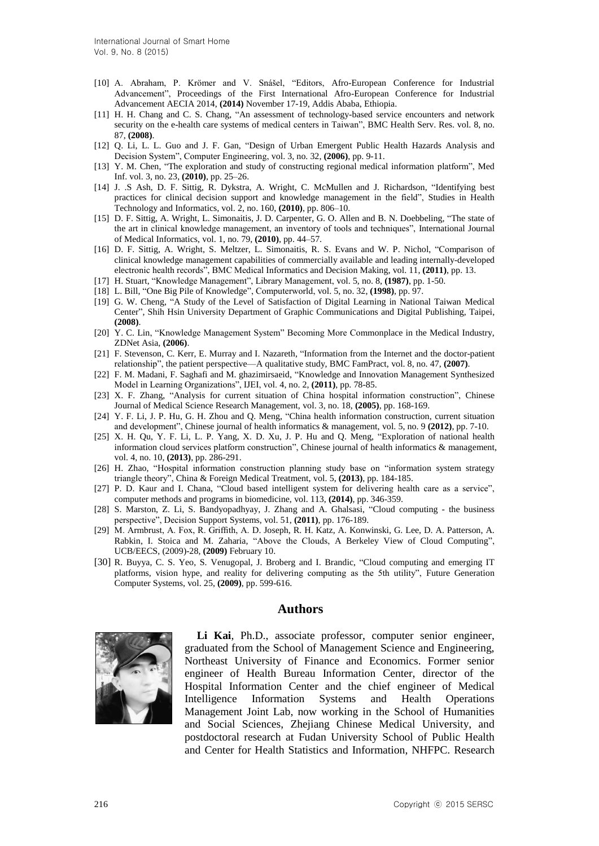- [10] A. Abraham, P. Krömer and V. Snášel, "Editors, Afro-European Conference for Industrial Advancement", Proceedings of the First International Afro-European Conference for Industrial Advancement AECIA 2014, **(2014)** November 17-19, Addis Ababa, Ethiopia.
- [11] H. H. Chang and C. S. Chang, "An assessment of technology-based service encounters and network security on the e-health care systems of medical centers in Taiwan", BMC Health Serv. Res. vol. 8, no. 87, **(2008)**.
- [12] Q. Li, L. L. Guo and J. F. Gan, "Design of Urban Emergent Public Health Hazards Analysis and Decision System", Computer Engineering, vol. 3, no. 32, **(2006)**, pp. 9-11.
- [13] Y. M. Chen, "The exploration and study of constructing regional medical information platform", Med Inf. vol. 3, no. 23, **(2010)**, pp. 25–26.
- [14] J. .S Ash, D. F. Sittig, R. Dykstra, A. Wright, C. McMullen and J. Richardson, "Identifying best practices for clinical decision support and knowledge management in the field", Studies in Health Technology and Informatics, vol. 2, no. 160, **(2010)**, pp. 806–10.
- [15] D. F. Sittig, A. Wright, L. Simonaitis, J. D. Carpenter, G. O. Allen and B. N. Doebbeling, "The state of the art in clinical knowledge management, an inventory of tools and techniques", International Journal of Medical Informatics, vol. 1, no. 79, **(2010)**, pp. 44–57.
- [16] D. F. Sittig, A. Wright, S. Meltzer, L. Simonaitis, R. S. Evans and W. P. Nichol, "Comparison of clinical knowledge management capabilities of commercially available and leading internally-developed electronic health records", BMC Medical Informatics and Decision Making, vol. 11, **(2011)**, pp. 13.
- [17] H. Stuart, "Knowledge Management", Library Management, vol. 5, no. 8, **(1987)**, pp. 1-50.
- [18] L. Bill, "One Big Pile of Knowledge", Computerworld, vol. 5, no. 32, **(1998)**, pp. 97.
- [19] G. W. Cheng, "A Study of the Level of Satisfaction of Digital Learning in National Taiwan Medical Center", Shih Hsin University Department of Graphic Communications and Digital Publishing, Taipei, **(2008)**.
- [20] Y. C. Lin, "Knowledge Management System" Becoming More Commonplace in the Medical Industry, ZDNet Asia, **(2006)**.
- [21] F. Stevenson, C. Kerr, E. Murray and I. Nazareth, "Information from the Internet and the doctor-patient relationship", the patient perspective—A qualitative study, BMC FamPract, vol. 8, no. 47, **(2007)**.
- [22] F. M. Madani, F. Saghafi and M. ghazimirsaeid, "Knowledge and Innovation Management Synthesized Model in Learning Organizations", IJEI, vol. 4, no. 2, **(2011)**, pp. 78-85.
- [23] X. F. Zhang, "Analysis for current situation of China hospital information construction", Chinese Journal of Medical Science Research Management, vol. 3, no. 18, **(2005)**, pp. 168-169.
- [24] Y. F. Li, J. P. Hu, G. H. Zhou and Q. Meng, "China health information construction, current situation and development", Chinese journal of health informatics & management, vol. 5, no. 9 **(2012)**, pp. 7-10.
- [25] X. H. Qu, Y. F. Li, L. P. Yang, X. D. Xu, J. P. Hu and Q. Meng, "Exploration of national health information cloud services platform construction", Chinese journal of health informatics & management, vol. 4, no. 10, **(2013)**, pp. 286-291.
- [26] H. Zhao, "Hospital information construction planning study base on "information system strategy triangle theory", China & Foreign Medical Treatment, vol. 5, **(2013)**, pp. 184-185.
- [27] P. D. Kaur and I. Chana, "Cloud based intelligent system for delivering health care as a service", computer methods and programs in biomedicine, vol. 113, **(2014)**, pp. 346-359.
- [28] S. Marston, Z. Li, S. Bandyopadhyay, J. Zhang and A. Ghalsasi, "Cloud computing the business perspective", Decision Support Systems, vol. 51, **(2011)**, pp. 176-189.
- [29] M. Armbrust, A. Fox, R. Griffith, A. D. Joseph, R. H. Katz, A. Konwinski, G. Lee, D. A. Patterson, A. Rabkin, I. Stoica and M. Zaharia, "Above the Clouds, A Berkeley View of Cloud Computing", UCB/EECS, (2009)-28, **(2009)** February 10.
- [30] R. Buyya, C. S. Yeo, S. Venugopal, J. Broberg and I. Brandic, "Cloud computing and emerging IT platforms, vision hype, and reality for delivering computing as the 5th utility", Future Generation Computer Systems, vol. 25, **(2009)**, pp. 599-616.

#### **Authors**



**Li Kai**, Ph.D., associate professor, computer senior engineer, graduated from the School of Management Science and Engineering, Northeast University of Finance and Economics. Former senior engineer of Health Bureau Information Center, director of the Hospital Information Center and the chief engineer of Medical Intelligence Information Systems and Health Operations Management Joint Lab, now working in the School of Humanities and Social Sciences, Zhejiang Chinese Medical University, and postdoctoral research at Fudan University School of Public Health and Center for Health Statistics and Information, NHFPC. Research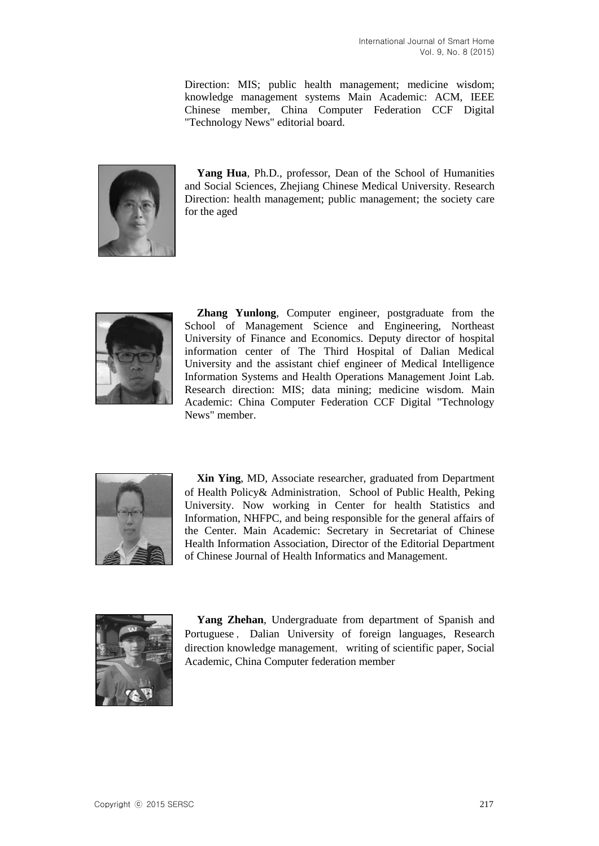Direction: MIS; public health management; medicine wisdom; knowledge management systems Main Academic: ACM, IEEE Chinese member, China Computer Federation CCF Digital "Technology News" editorial board.



**Yang Hua**, Ph.D., professor, Dean of the School of Humanities and Social Sciences, Zhejiang Chinese Medical University. Research Direction: health management; public management; the society care for the aged



**Zhang Yunlong**, Computer engineer, postgraduate from the School of Management Science and Engineering, Northeast University of Finance and Economics. Deputy director of hospital information center of The Third Hospital of Dalian Medical University and the assistant chief engineer of Medical Intelligence Information Systems and Health Operations Management Joint Lab. Research direction: MIS; data mining; medicine wisdom. Main Academic: China Computer Federation CCF Digital "Technology News" member.



**Xin Ying**, MD, Associate researcher, graduated from Department of Health Policy& Administration, School of Public Health, Peking University. Now working in Center for health Statistics and Information, NHFPC, and being responsible for the general affairs of the Center. Main Academic: Secretary in Secretariat of Chinese Health Information Association, Director of the Editorial Department of Chinese Journal of Health Informatics and Management.



**Yang Zhehan**, Undergraduate from department of Spanish and Portuguese , Dalian University of foreign languages, Research direction knowledge management, writing of scientific paper, Social Academic, China Computer federation member